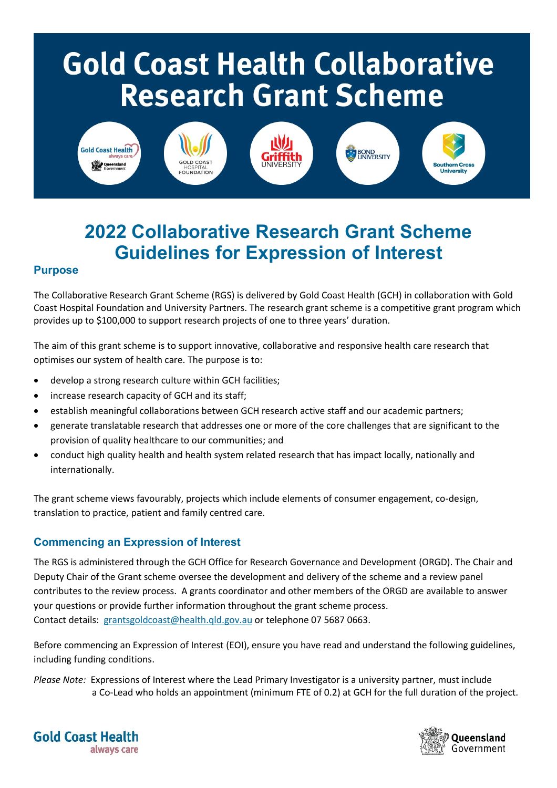# **Gold Coast Health Collaborative Research Grant Scheme**



# **2022 Collaborative Research Grant Scheme Guidelines for Expression of Interest**

# **Purpose**

The Collaborative Research Grant Scheme (RGS) is delivered by Gold Coast Health (GCH) in collaboration with Gold Coast Hospital Foundation and University Partners. The research grant scheme is a competitive grant program which provides up to \$100,000 to support research projects of one to three years' duration.

The aim of this grant scheme is to support innovative, collaborative and responsive health care research that optimises our system of health care. The purpose is to:

- develop a strong research culture within GCH facilities;
- increase research capacity of GCH and its staff;
- establish meaningful collaborations between GCH research active staff and our academic partners;
- generate translatable research that addresses one or more of the core challenges that are significant to the provision of quality healthcare to our communities; and
- conduct high quality health and health system related research that has impact locally, nationally and internationally.

The grant scheme views favourably, projects which include elements of consumer engagement, co-design, translation to practice, patient and family centred care.

#### **Commencing an Expression of Interest**

The RGS is administered through the GCH Office for Research Governance and Development (ORGD). The Chair and Deputy Chair of the Grant scheme oversee the development and delivery of the scheme and a review panel contributes to the review process. A grants coordinator and other members of the ORGD are available to answer your questions or provide further information throughout the grant scheme process. Contact details: [grantsgoldcoast@health.qld.gov.au](mailto:grantsgoldcoast@health.qld.gov.au) or telephone 07 5687 0663.

Before commencing an Expression of Interest (EOI), ensure you have read and understand the following guidelines, including funding conditions.

*Please Note:* Expressions of Interest where the Lead Primary Investigator is a university partner, must include a Co-Lead who holds an appointment (minimum FTE of 0.2) at GCH for the full duration of the project.



**Gold Coast Health** always care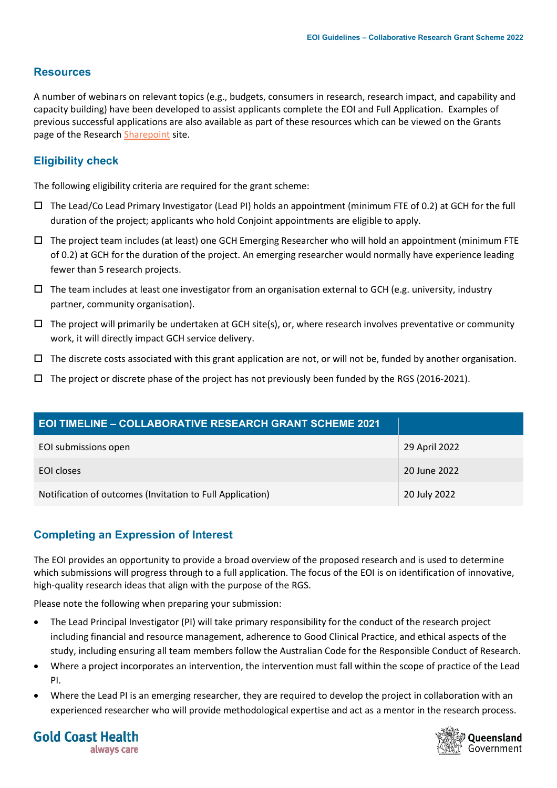# **Resources**

A number of webinars on relevant topics (e.g., budgets, consumers in research, research impact, and capability and capacity building) have been developed to assist applicants complete the EOI and Full Application. Examples of previous successful applications are also available as part of these resources which can be viewed on the Grants page of the Researc[h Sharepoint](https://healthqld.sharepoint.com/sites/ResearchGCHHS/SitePages/Grants.aspx) site.

# **Eligibility check**

The following eligibility criteria are required for the grant scheme:

- The Lead/Co Lead Primary Investigator (Lead PI) holds an appointment (minimum FTE of 0.2) at GCH for the full duration of the project; applicants who hold Conjoint appointments are eligible to apply.
- $\Box$  The project team includes (at least) one GCH Emerging Researcher who will hold an appointment (minimum FTE of 0.2) at GCH for the duration of the project. An emerging researcher would normally have experience leading fewer than 5 research projects.
- $\Box$  The team includes at least one investigator from an organisation external to GCH (e.g. university, industry partner, community organisation).
- $\Box$  The project will primarily be undertaken at GCH site(s), or, where research involves preventative or community work, it will directly impact GCH service delivery.
- $\Box$  The discrete costs associated with this grant application are not, or will not be, funded by another organisation.
- $\Box$  The project or discrete phase of the project has not previously been funded by the RGS (2016-2021).

| <b>EOI TIMELINE - COLLABORATIVE RESEARCH GRANT SCHEME 2021</b> |               |
|----------------------------------------------------------------|---------------|
| EOI submissions open                                           | 29 April 2022 |
| EOI closes                                                     | 20 June 2022  |
| Notification of outcomes (Invitation to Full Application)      | 20 July 2022  |

# **Completing an Expression of Interest**

The EOI provides an opportunity to provide a broad overview of the proposed research and is used to determine which submissions will progress through to a full application. The focus of the EOI is on identification of innovative, high-quality research ideas that align with the purpose of the RGS.

Please note the following when preparing your submission:

- The Lead Principal Investigator (PI) will take primary responsibility for the conduct of the research project including financial and resource management, adherence to Good Clinical Practice, and ethical aspects of the study, including ensuring all team members follow the Australian Code for the Responsible Conduct of Research.
- Where a project incorporates an intervention, the intervention must fall within the scope of practice of the Lead PI.
- Where the Lead PI is an emerging researcher, they are required to develop the project in collaboration with an experienced researcher who will provide methodological expertise and act as a mentor in the research process.



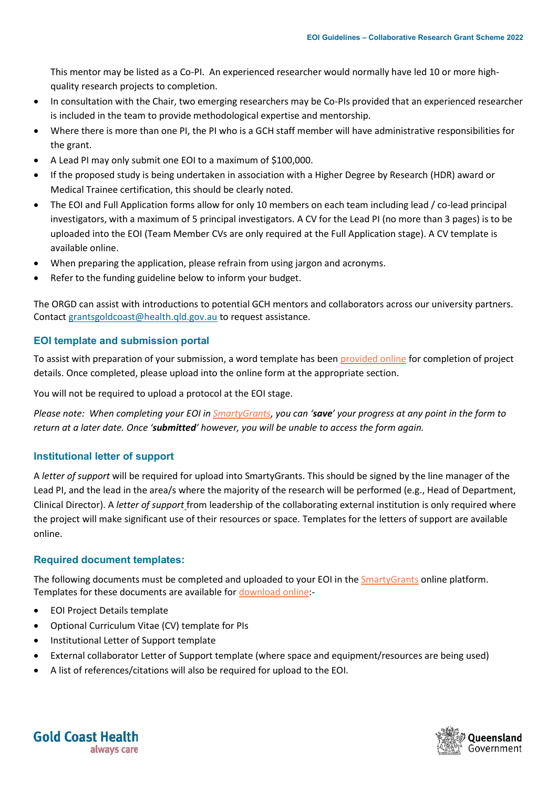This mentor may be listed as a Co-PI. An experienced researcher would normally have led 10 or more highquality research projects to completion.

- In consultation with the Chair, two emerging researchers may be Co-PIs provided that an experienced researcher is included in the team to provide methodological expertise and mentorship.
- Where there is more than one PI, the PI who is a GCH staff member will have administrative responsibilities for the grant.
- A Lead PI may only submit one EOI to a maximum of \$100,000.
- If the proposed study is being undertaken in association with a Higher Degree by Research (HDR) award or Medical Trainee certification, this should be clearly noted.
- The EOI and Full Application forms allow for only 10 members on each team including lead / co-lead principal investigators, with a maximum of 5 principal investigators. A CV for the Lead PI (no more than 3 pages) is to be uploaded into the EOI (Team Member CVs are only required at the Full Application stage). A CV template is available online.
- When preparing the application, please refrain from using jargon and acronyms.
- Refer to the funding guideline below to inform your budget.

The ORGD can assist with introductions to potential GCH mentors and collaborators across our university partners. Contact [grantsgoldcoast@health.qld.gov.au](mailto:grantsgoldcoast@health.qld.gov.au) to request assistance.

#### **EOI template and submission portal**

To assist with preparation of your submission, a word template has bee[n provided online](https://goldcoasthealth.sharefile.com/d-se49e34796d93458c87e4030fb2f715bf) for completion of project details. Once completed, please upload into the online form at the appropriate section.

You will not be required to upload a protocol at the EOI stage.

*Please note: When completing your EOI i[n SmartyGrants](https://healthqld.smartygrants.com.au/RGS_2022), you can 'save' your progress at any point in the form to return at a later date. Once 'submitted' however, you will be unable to access the form again.*

# **Institutional letter of support**

A *letter of support* will be required for upload into SmartyGrants. This should be signed by the line manager of the Lead PI, and the lead in the area/s where the majority of the research will be performed (e.g., Head of Department, Clinical Director). A *letter of support* from leadership of the collaborating external institution is only required where the project will make significant use of their resources or space. Templates for the letters of support are available online.

#### **Required document templates:**

The following documents must be completed and uploaded to your EOI in th[e SmartyGrants](https://healthqld.smartygrants.com.au/RGS_2022) online platform. Templates for these documents are available for [download online:](https://goldcoasthealth.sharefile.com/d-se49e34796d93458c87e4030fb2f715bf)-

- EOI Project Details template
- Optional Curriculum Vitae (CV) template for PIs
- Institutional Letter of Support template
- External collaborator Letter of Support template (where space and equipment/resources are being used)
- A list of references/citations will also be required for upload to the EOI.



**Gold Coast Health** always care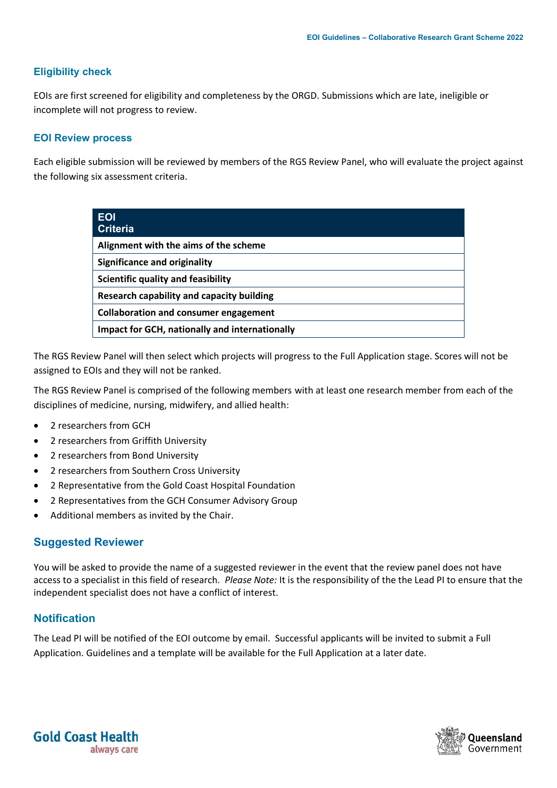#### **Eligibility check**

EOIs are first screened for eligibility and completeness by the ORGD. Submissions which are late, ineligible or incomplete will not progress to review.

#### **EOI Review process**

Each eligible submission will be reviewed by members of the RGS Review Panel, who will evaluate the project against the following six assessment criteria.

| <b>EOI</b><br><b>Criteria</b>                         |
|-------------------------------------------------------|
| Alignment with the aims of the scheme                 |
| <b>Significance and originality</b>                   |
| Scientific quality and feasibility                    |
| Research capability and capacity building             |
| <b>Collaboration and consumer engagement</b>          |
| <b>Impact for GCH, nationally and internationally</b> |

The RGS Review Panel will then select which projects will progress to the Full Application stage. Scores will not be assigned to EOIs and they will not be ranked.

The RGS Review Panel is comprised of the following members with at least one research member from each of the disciplines of medicine, nursing, midwifery, and allied health:

- 2 researchers from GCH
- 2 researchers from Griffith University
- 2 researchers from Bond University
- 2 researchers from Southern Cross University
- 2 Representative from the Gold Coast Hospital Foundation
- 2 Representatives from the GCH Consumer Advisory Group
- Additional members as invited by the Chair.

#### **Suggested Reviewer**

You will be asked to provide the name of a suggested reviewer in the event that the review panel does not have access to a specialist in this field of research. *Please Note:* It is the responsibility of the the Lead PI to ensure that the independent specialist does not have a conflict of interest.

#### **Notification**

The Lead PI will be notified of the EOI outcome by email. Successful applicants will be invited to submit a Full Application. Guidelines and a template will be available for the Full Application at a later date.



**Gold Coast Health** always care